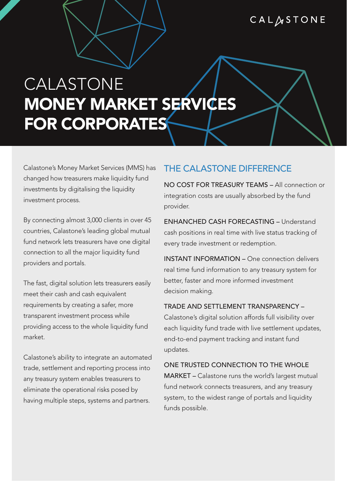## CALASTONE

# CALASTONE **MONEY MARKET SERVICES** FOR CORPORATES

Calastone's Money Market Services (MMS) has changed how treasurers make liquidity fund investments by digitalising the liquidity investment process.

By connecting almost 3,000 clients in over 45 countries, Calastone's leading global mutual fund network lets treasurers have one digital connection to all the major liquidity fund providers and portals.

The fast, digital solution lets treasurers easily meet their cash and cash equivalent requirements by creating a safer, more transparent investment process while providing access to the whole liquidity fund market.

Calastone's ability to integrate an automated trade, settlement and reporting process into any treasury system enables treasurers to eliminate the operational risks posed by having multiple steps, systems and partners.

#### THE CALASTONE DIFFERENCE

NO COST FOR TREASURY TEAMS – All connection or integration costs are usually absorbed by the fund provider.

ENHANCHED CASH FORECASTING – Understand cash positions in real time with live status tracking of every trade investment or redemption.

INSTANT INFORMATION – One connection delivers real time fund information to any treasury system for better, faster and more informed investment decision making.

TRADE AND SETTLEMENT TRANSPARENCY – Calastone's digital solution affords full visibility over each liquidity fund trade with live settlement updates, end-to-end payment tracking and instant fund updates.

ONE TRUSTED CONNECTION TO THE WHOLE MARKET – Calastone runs the world's largest mutual fund network connects treasurers, and any treasury system, to the widest range of portals and liquidity funds possible.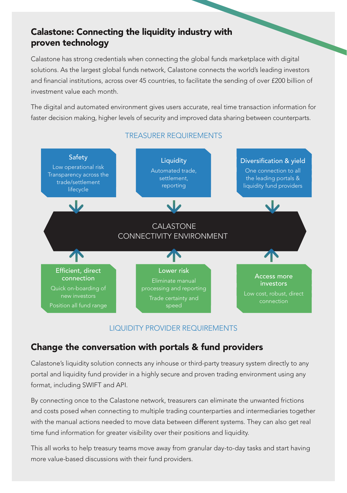# Calastone: Connecting the liquidity industry with proven technology

Calastone has strong credentials when connecting the global funds marketplace with digital solutions. As the largest global funds network, Calastone connects the world's leading investors and financial institutions, across over 45 countries, to facilitate the sending of over £200 billion of investment value each month.

The digital and automated environment gives users accurate, real time transaction information for faster decision making, higher levels of security and improved data sharing between counterparts.



#### TREASURER REQUIREMENTS

#### LIQUIDITY PROVIDER REQUIREMENTS

# Change the conversation with portals & fund providers

Calastone's liquidity solution connects any inhouse or third-party treasury system directly to any portal and liquidity fund provider in a highly secure and proven trading environment using any format, including SWIFT and API.

By connecting once to the Calastone network, treasurers can eliminate the unwanted frictions and costs posed when connecting to multiple trading counterparties and intermediaries together with the manual actions needed to move data between different systems. They can also get real time fund information for greater visibility over their positions and liquidity.

This all works to help treasury teams move away from granular day-to-day tasks and start having more value-based discussions with their fund providers.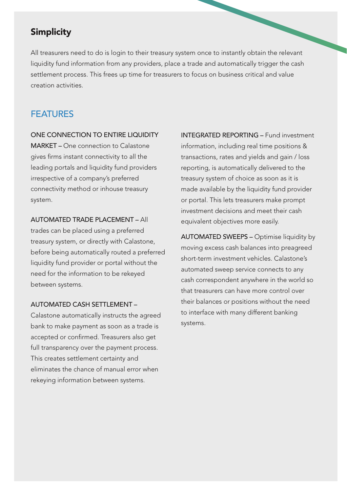## Simplicity

All treasurers need to do is login to their treasury system once to instantly obtain the relevant liquidity fund information from any providers, place a trade and automatically trigger the cash settlement process. This frees up time for treasurers to focus on business critical and value creation activities.

#### **FFATURES**

#### ONE CONNECTION TO ENTIRE LIQUIDITY

MARKET – One connection to Calastone gives firms instant connectivity to all the leading portals and liquidity fund providers irrespective of a company's preferred connectivity method or inhouse treasury system.

AUTOMATED TRADE PLACEMENT – All trades can be placed using a preferred treasury system, or directly with Calastone, before being automatically routed a preferred liquidity fund provider or portal without the need for the information to be rekeyed between systems.

#### AUTOMATED CASH SETTLEMENT –

Calastone automatically instructs the agreed bank to make payment as soon as a trade is accepted or confirmed. Treasurers also get full transparency over the payment process. This creates settlement certainty and eliminates the chance of manual error when rekeying information between systems.

INTEGRATED REPORTING – Fund investment information, including real time positions & transactions, rates and yields and gain / loss reporting, is automatically delivered to the treasury system of choice as soon as it is made available by the liquidity fund provider or portal. This lets treasurers make prompt investment decisions and meet their cash equivalent objectives more easily.

AUTOMATED SWEEPS – Optimise liquidity by moving excess cash balances into preagreed short-term investment vehicles. Calastone's automated sweep service connects to any cash correspondent anywhere in the world so that treasurers can have more control over their balances or positions without the need to interface with many different banking systems.